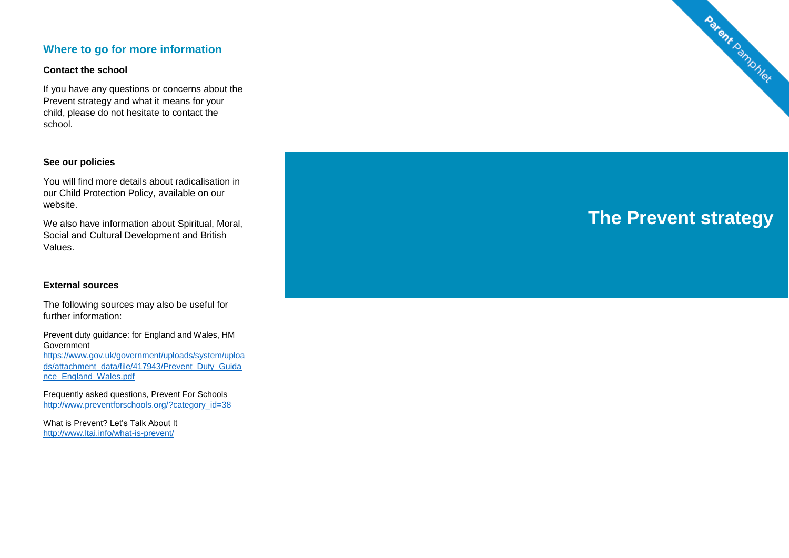## **Where to go for more information**

#### **Contact the school**

If you have any questions or concerns about the Prevent strategy and what it means for your child, please do not hesitate to contact the school.

#### **See our policies**

You will find more details about radicalisation in our Child Protection Policy, available on our website.

We also have information about Spiritual, Moral, Social and Cultural Development and British Values.

#### **External sources**

The following sources may also be useful for further information:

Prevent duty guidance: for England and Wales, HM Government [https://www.gov.uk/government/uploads/system/uploa](https://www.gov.uk/government/uploads/system/uploads/attachment_data/file/417943/Prevent_Duty_Guidance_England_Wales.pdf) [ds/attachment\\_data/file/417943/Prevent\\_Duty\\_Guida](https://www.gov.uk/government/uploads/system/uploads/attachment_data/file/417943/Prevent_Duty_Guidance_England_Wales.pdf) [nce\\_England\\_Wales.pdf](https://www.gov.uk/government/uploads/system/uploads/attachment_data/file/417943/Prevent_Duty_Guidance_England_Wales.pdf)

Frequently asked questions, Prevent For Schools [http://www.preventforschools.org/?category\\_id=38](http://www.preventforschools.org/?category_id=38)

What is Prevent? Let's Talk About It <http://www.ltai.info/what-is-prevent/>



# **The Prevent strategy**